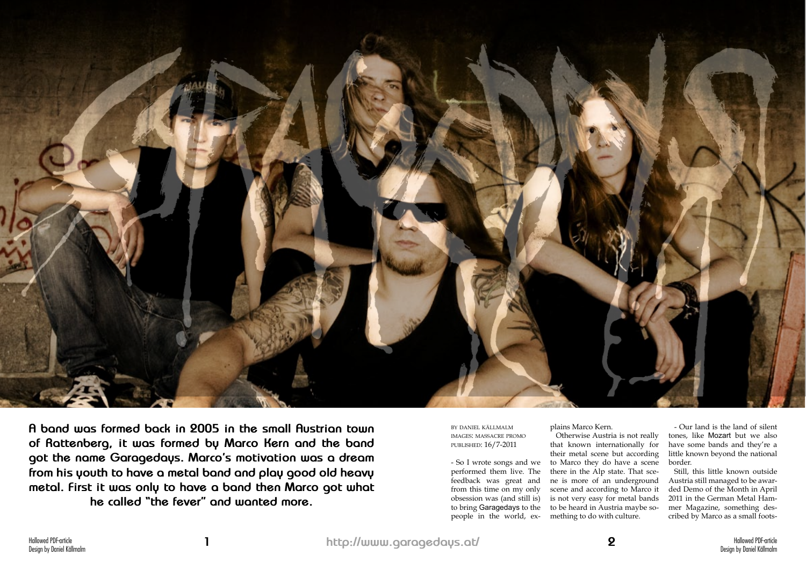

**A band was formed back in 2005 in the small Austrian town of Rattenberg, it was formed by Marco Kern and the band got the name Garagedays. Marco's motivation was a dream from his youth to have a metal band and play good old heavy metal. First it was only to have a band then Marco got what he called "the fever" and wanted more.**

by daniel källmalm images: massacre promo published: 16/7-2011

- So I wrote songs and we performed them live. The feedback was great and from this time on my only obsession was (and still is) to bring Garagedays to the people in the world, ex-

plains Marco Kern. Otherwise Austria is not really that known internationally for their metal scene but according to Marco they do have a scene there in the Alp state. That scene is more of an underground scene and according to Marco it is not very easy for metal bands to be heard in Austria maybe something to do with culture.

- Our land is the land of silent tones, like Mozart but we also have some bands and they're a little known beyond the national border.

Still, this little known outside Austria still managed to be awarded Demo of the Month in April 2011 in the German Metal Hammer Magazine, something described by Marco as a small foots-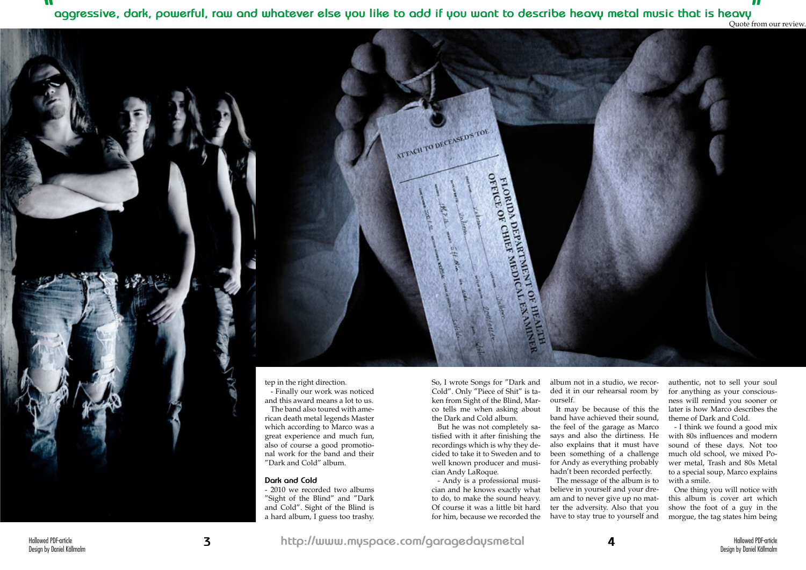tep in the right direction.

- Finally our work was noticed and this award means a lot to us. The band also toured with american death metal legends Master which according to Marco was a great experience and much fun, also of course a good promotional work for the band and their "Dark and Cold" album.

## **Dark and Cold**

- 2010 we recorded two albums "Sight of the Blind" and "Dark and Cold". Sight of the Blind is a hard album, I guess too trashy.

So, I wrote Songs for "Dark and Cold". Only "Piece of Shit" is taken from Sight of the Blind, Marco tells me when asking about the Dark and Cold album.

OFFICE

FLORIDA I

DA Direction

DEPARTMENT

MEDIC

ATTACH TO DECEASED'S TOE

But he was not completely satisfied with it after finishing the recordings which is why they decided to take it to Sweden and to well known producer and musician Andy LaRoque.

- Andy is a professional musician and he knows exactly what to do, to make the sound heavy. Of course it was a little bit hard for him, because we recorded the

album not in a studio, we recorded it in our rehearsal room by ourself.

It may be because of this the band have achieved their sound, the feel of the garage as Marco says and also the dirtiness. He also explains that it must have been something of a challenge for Andy as everything probably hadn't been recorded perfectly.

The message of the album is to believe in yourself and your dream and to never give up no matter the adversity. Also that you have to stay true to yourself and

authentic, not to sell your soul for anything as your consciousness will remind you sooner or later is how Marco describes the theme of Dark and Cold.

- I think we found a good mix with 80s influences and modern sound of these days. Not too much old school, we mixed Power metal, Trash and 80s Metal to a special soup, Marco explains with a smile.

One thing you will notice with this album is cover art which show the foot of a guy in the morgue, the tag states him being

**" aggressive, dark, powerful, raw and whatever else you like to add if you want to describe heavy metal music that is heavy**